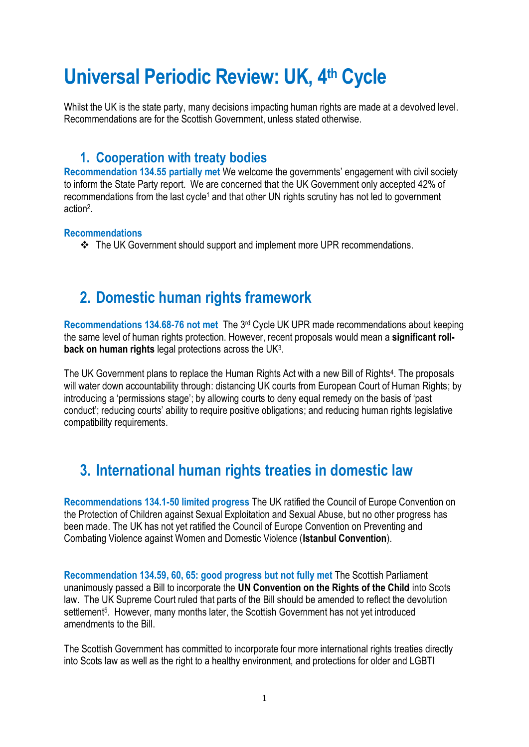# **Universal Periodic Review: UK, 4th Cycle**

Whilst the UK is the state party, many decisions impacting human rights are made at a devolved level. Recommendations are for the Scottish Government, unless stated otherwise.

#### **1. Cooperation with treaty bodies**

**Recommendation 134.55 partially met** We welcome the governments' engagement with civil society to inform the State Party report. We are concerned that the UK Government only accepted 42% of recommendations from the last cycle<sup>1</sup> and that other UN rights scrutiny has not led to government action<sup>2</sup> .

#### **Recommendations**

❖ The UK Government should support and implement more UPR recommendations.

# **2. Domestic human rights framework**

**Recommendations 134.68-76 not met** The 3 rd Cycle UK UPR made recommendations about keeping the same level of human rights protection. However, recent proposals would mean a **significant rollback on human rights** legal protections across the UK<sup>3</sup> .

The UK Government plans to replace the Human Rights Act with a new Bill of Rights<sup>4</sup>. The proposals will water down accountability through: distancing UK courts from European Court of Human Rights; by introducing a 'permissions stage'; by allowing courts to deny equal remedy on the basis of 'past conduct'; reducing courts' ability to require positive obligations; and reducing human rights legislative compatibility requirements.

# **3. International human rights treaties in domestic law**

**Recommendations 134.1-50 limited progress** The UK ratified the Council of Europe Convention on the Protection of Children against Sexual Exploitation and Sexual Abuse, but no other progress has been made. The UK has not yet ratified the Council of Europe Convention on Preventing and Combating Violence against Women and Domestic Violence (**Istanbul Convention**).

**Recommendation 134.59, 60, 65: good progress but not fully met** The Scottish Parliament unanimously passed a Bill to incorporate the **UN Convention on the Rights of the Child** into Scots law. The UK Supreme Court ruled that parts of the Bill should be amended to reflect the devolution settlement<sup>5</sup>. However, many months later, the Scottish Government has not yet introduced amendments to the Bill.

The Scottish Government has committed to incorporate four more international rights treaties directly into Scots law as well as the right to a healthy environment, and protections for older and LGBTI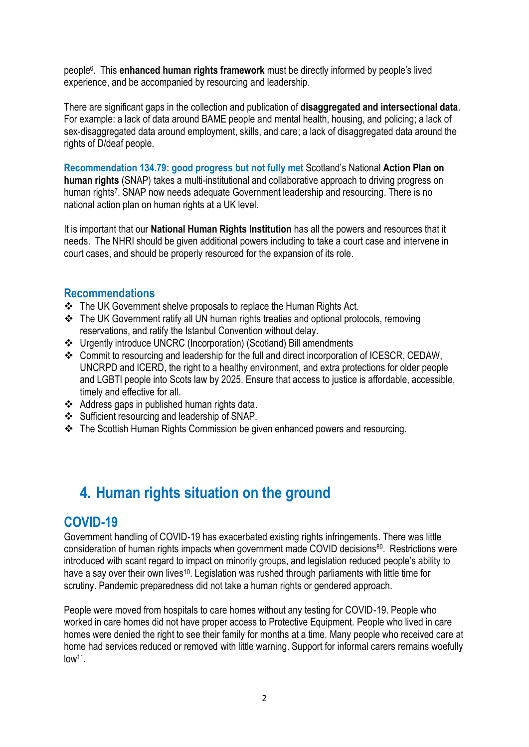people<sup>6</sup> . This **enhanced human rights framework** must be directly informed by people's lived experience, and be accompanied by resourcing and leadership.

There are significant gaps in the collection and publication of **disaggregated and intersectional data**. For example: a lack of data around BAME people and mental health, housing, and policing; a lack of sex-disaggregated data around employment, skills, and care; a lack of disaggregated data around the rights of D/deaf people.

**Recommendation 134.79: good progress but not fully met** Scotland's National **Action Plan on human rights** (SNAP) takes a multi-institutional and collaborative approach to driving progress on human rights<sup>7</sup>. SNAP now needs adequate Government leadership and resourcing. There is no national action plan on human rights at a UK level.

It is important that our **National Human Rights Institution** has all the powers and resources that it needs. The NHRI should be given additional powers including to take a court case and intervene in court cases, and should be properly resourced for the expansion of its role.

#### **Recommendations**

- ❖ The UK Government shelve proposals to replace the Human Rights Act.
- ❖ The UK Government ratify all UN human rights treaties and optional protocols, removing reservations, and ratify the Istanbul Convention without delay.
- ❖ Urgently introduce UNCRC (Incorporation) (Scotland) Bill amendments
- ❖ Commit to resourcing and leadership for the full and direct incorporation of ICESCR, CEDAW, UNCRPD and ICERD, the right to a healthy environment, and extra protections for older people and LGBTI people into Scots law by 2025. Ensure that access to justice is affordable, accessible, timely and effective for all.
- ❖ Address gaps in published human rights data.
- ❖ Sufficient resourcing and leadership of SNAP.
- ❖ The Scottish Human Rights Commission be given enhanced powers and resourcing.

# **4. Human rights situation on the ground**

#### **COVID-19**

Government handling of COVID-19 has exacerbated existing rights infringements. There was little consideration of human rights impacts when government made COVID decisions<sup>89</sup>. Restrictions were introduced with scant regard to impact on minority groups, and legislation reduced people's ability to have a say over their own lives<sup>10</sup>. Legislation was rushed through parliaments with little time for scrutiny. Pandemic preparedness did not take a human rights or gendered approach.

People were moved from hospitals to care homes without any testing for COVID-19. People who worked in care homes did not have proper access to Protective Equipment. People who lived in care homes were denied the right to see their family for months at a time. Many people who received care at home had services reduced or removed with little warning. Support for informal carers remains woefully low<sup>11</sup> .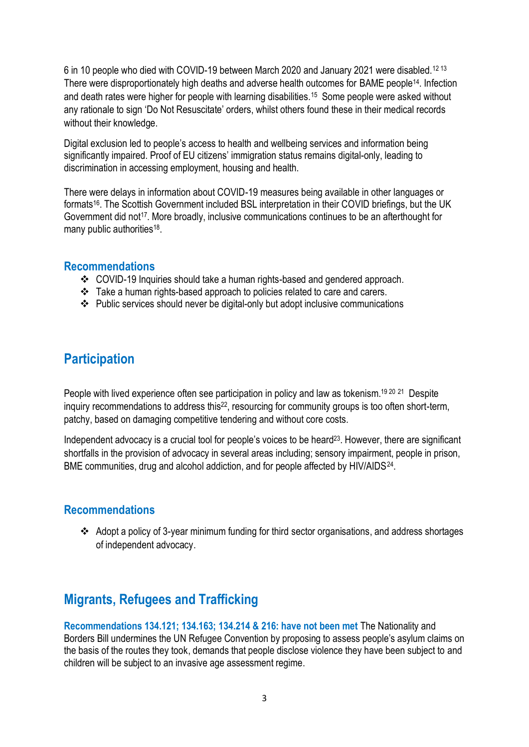6 in 10 people who died with COVID-19 between March 2020 and January 2021 were disabled.<sup>12</sup> <sup>13</sup> There were disproportionately high deaths and adverse health outcomes for BAME people14. Infection and death rates were higher for people with learning disabilities.<sup>15</sup> Some people were asked without any rationale to sign 'Do Not Resuscitate' orders, whilst others found these in their medical records without their knowledge.

Digital exclusion led to people's access to health and wellbeing services and information being significantly impaired. Proof of EU citizens' immigration status remains digital-only, leading to discrimination in accessing employment, housing and health.

There were delays in information about COVID-19 measures being available in other languages or formats<sup>16</sup>. The Scottish Government included BSL interpretation in their COVID briefings, but the UK Government did not<sup>17</sup>. More broadly, inclusive communications continues to be an afterthought for many public authorities<sup>18</sup>.

#### **Recommendations**

- ❖ COVID-19 Inquiries should take a human rights-based and gendered approach.
- ❖ Take a human rights-based approach to policies related to care and carers.
- ❖ Public services should never be digital-only but adopt inclusive communications

### **Participation**

People with lived experience often see participation in policy and law as tokenism.<sup>19 20</sup> <sup>21</sup> Despite inquiry recommendations to address this<sup>22</sup>, resourcing for community groups is too often short-term, patchy, based on damaging competitive tendering and without core costs.

Independent advocacy is a crucial tool for people's voices to be heard<sup>23</sup>. However, there are significant shortfalls in the provision of advocacy in several areas including; sensory impairment, people in prison, BME communities, drug and alcohol addiction, and for people affected by HIV/AIDS<sup>24</sup>.

#### **Recommendations**

❖ Adopt a policy of 3-year minimum funding for third sector organisations, and address shortages of independent advocacy.

# **Migrants, Refugees and Trafficking**

**Recommendations 134.121; 134.163; 134.214 & 216: have not been met** The Nationality and Borders Bill undermines the UN Refugee Convention by proposing to assess people's asylum claims on the basis of the routes they took, demands that people disclose violence they have been subject to and children will be subject to an invasive age assessment regime.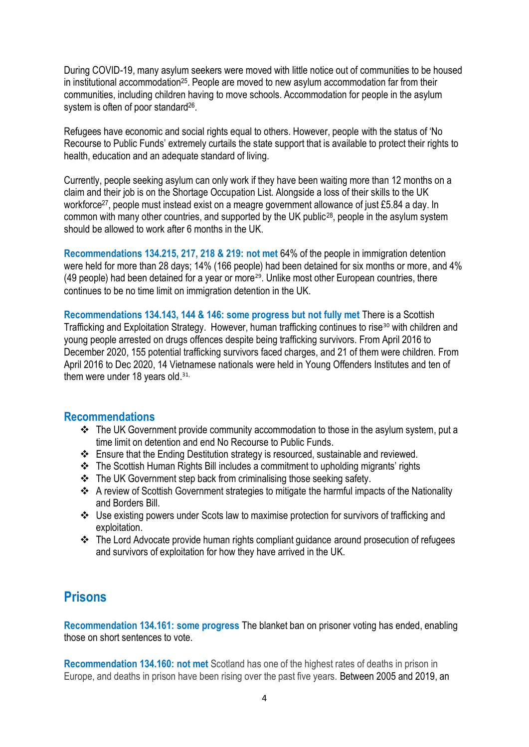During COVID-19, many asylum seekers were moved with little notice out of communities to be housed in institutional accommodation<sup>25</sup>. People are moved to new asylum accommodation far from their communities, including children having to move schools. Accommodation for people in the asylum system is often of poor standard<sup>26</sup>.

Refugees have economic and social rights equal to others. However, people with the status of 'No Recourse to Public Funds' extremely curtails the state support that is available to protect their rights to health, education and an adequate standard of living.

Currently, people seeking asylum can only work if they have been waiting more than 12 months on a claim and their job is on the Shortage Occupation List. Alongside a loss of their skills to the UK workforce<sup>27</sup>, people must instead exist on a meagre government allowance of just £5.84 a day. In common with many other countries, and supported by the UK public<sup>28</sup>, people in the asylum system should be allowed to work after 6 months in the UK.

**Recommendations 134.215, 217, 218 & 219: not met** 64% of the people in immigration detention were held for more than 28 days; 14% (166 people) had been detained for six months or more, and 4% (49 people) had been detained for a year or more<sup>29</sup>. Unlike most other European countries, there continues to be no time limit on immigration detention in the UK.

**Recommendations 134.143, 144 & 146: some progress but not fully met** There is a Scottish Trafficking and Exploitation Strategy. However, human trafficking continues to rise<sup>30</sup> with children and young people arrested on drugs offences despite being trafficking survivors. From April 2016 to December 2020, 155 potential trafficking survivors faced charges, and 21 of them were children. From April 2016 to Dec 2020, 14 Vietnamese nationals were held in Young Offenders Institutes and ten of them were under 18 years old. $31$ .

#### **Recommendations**

- ❖ The UK Government provide community accommodation to those in the asylum system, put a time limit on detention and end No Recourse to Public Funds.
- ❖ Ensure that the Ending Destitution strategy is resourced, sustainable and reviewed.
- ❖ The Scottish Human Rights Bill includes a commitment to upholding migrants' rights
- ❖ The UK Government step back from criminalising those seeking safety.
- ❖ A review of Scottish Government strategies to mitigate the harmful impacts of the Nationality and Borders Bill.
- ❖ Use existing powers under Scots law to maximise protection for survivors of trafficking and exploitation.
- ❖ The Lord Advocate provide human rights compliant guidance around prosecution of refugees and survivors of exploitation for how they have arrived in the UK.

### **Prisons**

**Recommendation 134.161: some progress** The blanket ban on prisoner voting has ended, enabling those on short sentences to vote.

**Recommendation 134.160: not met** Scotland has one of the highest rates of deaths in prison in Europe, and deaths in prison have been rising over the past five years. Between 2005 and 2019, an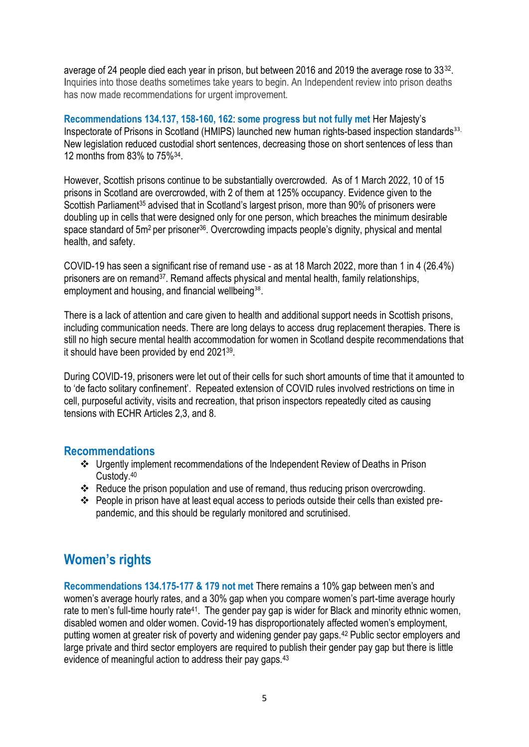average of 24 people died each year in prison, but between 2016 and 2019 the average rose to 33<sup>32</sup>. Inquiries into those deaths sometimes take years to begin. An Independent review into prison deaths has now made recommendations for urgent improvement.

**Recommendations 134.137, 158-160, 162**: **some progress but not fully met** Her Majesty's Inspectorate of Prisons in Scotland (HMIPS) launched new human rights-based inspection standards<sup>33</sup>. New legislation reduced custodial short sentences, decreasing those on short sentences of less than 12 months from 83% to 75%<sup>34</sup> .

However, Scottish prisons continue to be substantially overcrowded. As of 1 March 2022, 10 of 15 prisons in Scotland are overcrowded, with 2 of them at 125% occupancy. Evidence given to the Scottish Parliament<sup>35</sup> advised that in Scotland's largest prison, more than 90% of prisoners were doubling up in cells that were designed only for one person, which breaches the minimum desirable space standard of 5m<sup>2</sup> per prisoner<sup>36</sup>. Overcrowding impacts people's dignity, physical and mental health, and safety.

COVID-19 has seen a significant rise of remand use - as at 18 March 2022, more than 1 in 4 (26.4%) prisoners are on remand37. Remand affects physical and mental health, family relationships, employment and housing, and financial wellbeing<sup>38</sup>.

There is a lack of attention and care given to health and additional support needs in Scottish prisons, including communication needs. There are long delays to access drug replacement therapies. There is still no high secure mental health accommodation for women in Scotland despite recommendations that it should have been provided by end 2021<sup>39</sup>.

During COVID-19, prisoners were let out of their cells for such short amounts of time that it amounted to to 'de facto solitary confinement'. Repeated extension of COVID rules involved restrictions on time in cell, purposeful activity, visits and recreation, that prison inspectors repeatedly cited as causing tensions with ECHR Articles 2,3, and 8.

#### **Recommendations**

- ❖ Urgently implement recommendations of the Independent Review of Deaths in Prison Custody. 40
- ❖ Reduce the prison population and use of remand, thus reducing prison overcrowding.
- ❖ People in prison have at least equal access to periods outside their cells than existed prepandemic, and this should be regularly monitored and scrutinised.

# **Women's rights**

**Recommendations 134.175-177 & 179 not met** There remains a 10% gap between men's and women's average hourly rates, and a 30% gap when you compare women's part-time average hourly rate to men's full-time hourly rate<sup>41</sup>. The gender pay gap is wider for Black and minority ethnic women, disabled women and older women. Covid-19 has disproportionately affected women's employment, putting women at greater risk of poverty and widening gender pay gaps.<sup>42</sup> Public sector employers and large private and third sector employers are required to publish their gender pay gap but there is little evidence of meaningful action to address their pay gaps.43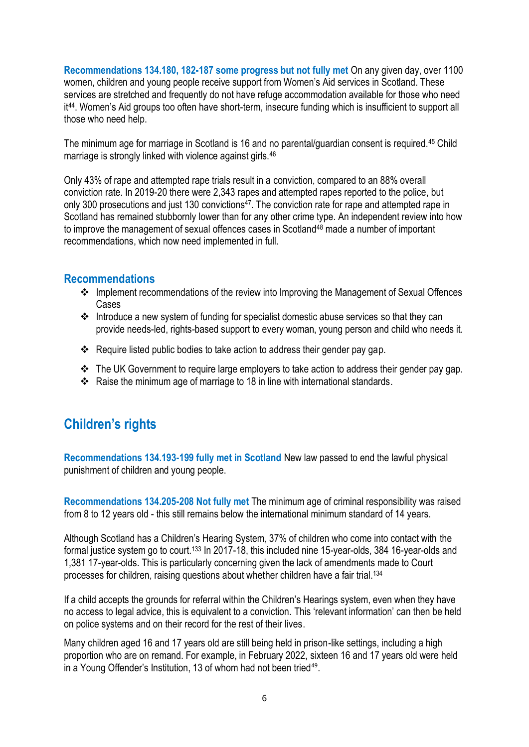**Recommendations 134.180, 182-187 some progress but not fully met** On any given day, over 1100 women, children and young people receive support from Women's Aid services in Scotland. These services are stretched and frequently do not have refuge accommodation available for those who need it<sup>44</sup>. Women's Aid groups too often have short-term, insecure funding which is insufficient to support all those who need help.

The minimum age for marriage in Scotland is 16 and no parental/guardian consent is required.<sup>45</sup> Child marriage is strongly linked with violence against girls.<sup>46</sup>

Only 43% of rape and attempted rape trials result in a conviction, compared to an 88% overall conviction rate. In 2019-20 there were 2,343 rapes and attempted rapes reported to the police, but only 300 prosecutions and just 130 convictions<sup>47</sup>. The conviction rate for rape and attempted rape in Scotland has remained stubbornly lower than for any other crime type. An independent review into how to improve the management of sexual offences cases in Scotland<sup>48</sup> made a number of important recommendations, which now need implemented in full.

#### **Recommendations**

- ❖ Implement recommendations of the review into Improving the Management of Sexual Offences Cases
- ❖ Introduce a new system of funding for specialist domestic abuse services so that they can provide needs-led, rights-based support to every woman, young person and child who needs it.
- ❖ Require listed public bodies to take action to address their gender pay gap.
- ❖ The UK Government to require large employers to take action to address their gender pay gap.
- ❖ Raise the minimum age of marriage to 18 in line with international standards.

# **Children's rights**

**Recommendations 134.193-199 fully met in Scotland** New law passed to end the lawful physical punishment of children and young people.

**Recommendations 134.205-208 Not fully met** The minimum age of criminal responsibility was raised from 8 to 12 years old - this still remains below the international minimum standard of 14 years.

Although Scotland has a Children's Hearing System, 37% of children who come into contact with the formal justice system go to court.<sup>133</sup> In 2017-18, this included nine 15-year-olds, 384 16-year-olds and 1,381 17-year-olds. This is particularly concerning given the lack of amendments made to Court processes for children, raising questions about whether children have a fair trial.<sup>134</sup>

If a child accepts the grounds for referral within the Children's Hearings system, even when they have no access to legal advice, this is equivalent to a conviction. This 'relevant information' can then be held on police systems and on their record for the rest of their lives.

Many children aged 16 and 17 years old are still being held in prison-like settings, including a high proportion who are on remand. For example, in February 2022, sixteen 16 and 17 years old were held in a Young Offender's Institution, 13 of whom had not been tried<sup>49</sup>.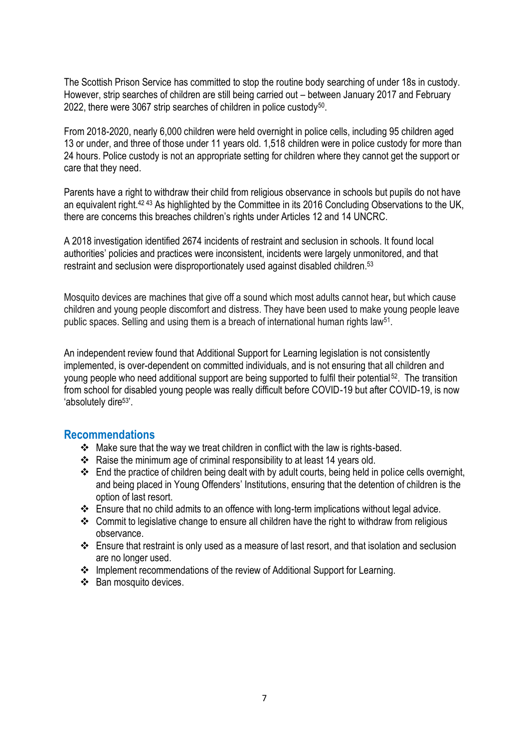The Scottish Prison Service has committed to stop the routine body searching of under 18s in custody. However, strip searches of children are still being carried out – between January 2017 and February 2022, there were 3067 strip searches of children in police custody<sup>50</sup>.

From 2018-2020, nearly 6,000 children were held overnight in police cells, including 95 children aged 13 or under, and three of those under 11 years old. 1,518 children were in police custody for more than 24 hours. Police custody is not an appropriate setting for children where they cannot get the support or care that they need.

Parents have a right to withdraw their child from religious observance in schools but pupils do not have an equivalent right.42 43 As highlighted by the Committee in its 2016 Concluding Observations to the UK, there are concerns this breaches children's rights under Articles 12 and 14 UNCRC.

A 2018 investigation identified 2674 incidents of restraint and seclusion in schools. It found local authorities' policies and practices were inconsistent, incidents were largely unmonitored, and that restraint and seclusion were disproportionately used against disabled children.<sup>53</sup>

Mosquito devices are machines that give off a sound which most adults cannot hear**,** but which cause children and young people discomfort and distress. They have been used to make young people leave public spaces. Selling and using them is a breach of international human rights law<sup>51</sup>.

An independent review found that Additional Support for Learning legislation is not consistently implemented, is over-dependent on committed individuals, and is not ensuring that all children and young people who need additional support are being supported to fulfil their potential<sup>52</sup>. The transition from school for disabled young people was really difficult before COVID-19 but after COVID-19, is now 'absolutely dire<sup>53'</sup>.

#### **Recommendations**

- ❖ Make sure that the way we treat children in conflict with the law is rights-based.
- ❖ Raise the minimum age of criminal responsibility to at least 14 years old.
- ❖ End the practice of children being dealt with by adult courts, being held in police cells overnight, and being placed in Young Offenders' Institutions, ensuring that the detention of children is the option of last resort.
- ❖ Ensure that no child admits to an offence with long-term implications without legal advice.
- ❖ Commit to legislative change to ensure all children have the right to withdraw from religious observance.
- ❖ Ensure that restraint is only used as a measure of last resort, and that isolation and seclusion are no longer used.
- ❖ Implement recommendations of the review of Additional Support for Learning.
- ❖ Ban mosquito devices.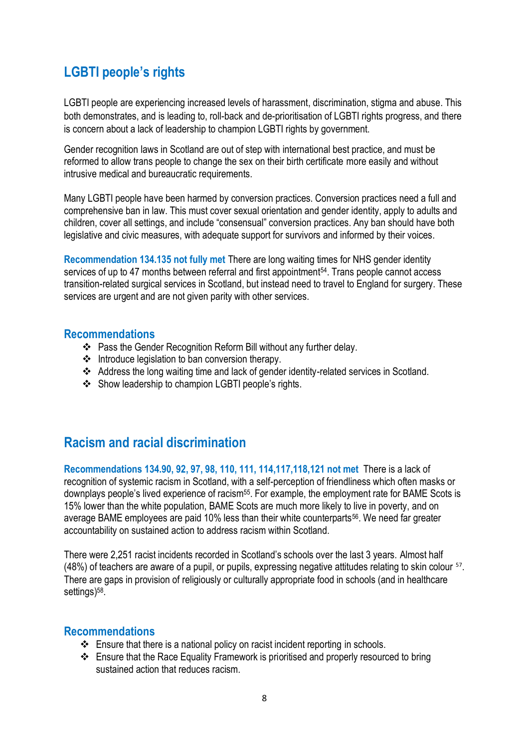# **LGBTI people's rights**

LGBTI people are experiencing increased levels of harassment, discrimination, stigma and abuse. This both demonstrates, and is leading to, roll-back and de-prioritisation of LGBTI rights progress, and there is concern about a lack of leadership to champion LGBTI rights by government.

Gender recognition laws in Scotland are out of step with international best practice, and must be reformed to allow trans people to change the sex on their birth certificate more easily and without intrusive medical and bureaucratic requirements.

Many LGBTI people have been harmed by conversion practices. Conversion practices need a full and comprehensive ban in law. This must cover sexual orientation and gender identity, apply to adults and children, cover all settings, and include "consensual" conversion practices. Any ban should have both legislative and civic measures, with adequate support for survivors and informed by their voices.

**Recommendation 134.135 not fully met** There are long waiting times for NHS gender identity services of up to 47 months between referral and first appointment<sup>54</sup>. Trans people cannot access transition-related surgical services in Scotland, but instead need to travel to England for surgery. These services are urgent and are not given parity with other services.

#### **Recommendations**

- ❖ Pass the Gender Recognition Reform Bill without any further delay.
- ❖ Introduce legislation to ban conversion therapy.
- ❖ Address the long waiting time and lack of gender identity-related services in Scotland.
- ❖ Show leadership to champion LGBTI people's rights.

# **Racism and racial discrimination**

**Recommendations 134.90, 92, 97, 98, 110, 111, 114,117,118,121 not met** There is a lack of recognition of systemic racism in Scotland, with a self-perception of friendliness which often masks or downplays people's lived experience of racism<sup>55</sup>. For example, the employment rate for BAME Scots is 15% lower than the white population, BAME Scots are much more likely to live in poverty, and on average BAME employees are paid 10% less than their white counterparts<sup>56</sup>. We need far greater accountability on sustained action to address racism within Scotland.

There were 2,251 racist incidents recorded in Scotland's schools over the last 3 years. Almost half (48%) of teachers are aware of a pupil, or pupils, expressing negative attitudes relating to skin colour <sup>57</sup>. There are gaps in provision of religiously or culturally appropriate food in schools (and in healthcare settings)<sup>58</sup>.

#### **Recommendations**

- ❖ Ensure that there is a national policy on racist incident reporting in schools.
- ❖ Ensure that the Race Equality Framework is prioritised and properly resourced to bring sustained action that reduces racism.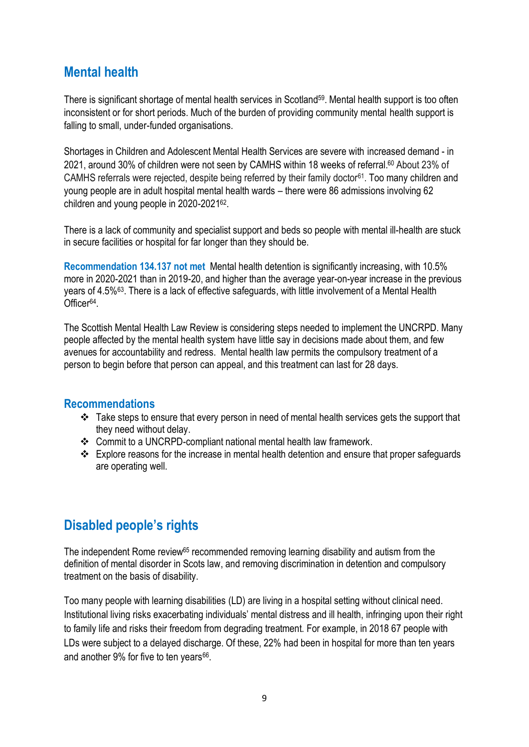### **Mental health**

There is significant shortage of mental health services in Scotland<sup>59</sup>. Mental health support is too often inconsistent or for short periods. Much of the burden of providing community mental health support is falling to small, under-funded organisations.

Shortages in Children and Adolescent Mental Health Services are severe with increased demand - in 2021, around 30% of children were not seen by CAMHS within 18 weeks of referral.<sup>60</sup> About 23% of CAMHS referrals were rejected, despite being referred by their family doctor<sup>61</sup>. Too many children and young people are in adult hospital mental health wards – there were 86 admissions involving 62 children and young people in 2020-2021<sup>62</sup>.

There is a lack of community and specialist support and beds so people with mental ill-health are stuck in secure facilities or hospital for far longer than they should be.

**Recommendation 134.137 not met** Mental health detention is significantly increasing, with 10.5% more in 2020-2021 than in 2019-20, and higher than the average year-on-year increase in the previous years of 4.5%<sup>63</sup>. There is a lack of effective safeguards, with little involvement of a Mental Health Officer<sup>64</sup>.

The Scottish Mental Health Law Review is considering steps needed to implement the UNCRPD. Many people affected by the mental health system have little say in decisions made about them, and few avenues for accountability and redress. Mental health law permits the compulsory treatment of a person to begin before that person can appeal, and this treatment can last for 28 days.

#### **Recommendations**

- ❖ Take steps to ensure that every person in need of mental health services gets the support that they need without delay.
- ❖ Commit to a UNCRPD-compliant national mental health law framework.
- ❖ Explore reasons for the increase in mental health detention and ensure that proper safeguards are operating well.

# **Disabled people's rights**

The independent Rome review<sup>65</sup> recommended removing learning disability and autism from the definition of mental disorder in Scots law, and removing discrimination in detention and compulsory treatment on the basis of disability.

Too many people with learning disabilities (LD) are living in a hospital setting without clinical need. Institutional living risks exacerbating individuals' mental distress and ill health, infringing upon their right to family life and risks their freedom from degrading treatment. For example, in 2018 67 people with LDs were subject to a delayed discharge. Of these, 22% had been in hospital for more than ten years and another 9% for five to ten years<sup>66</sup>.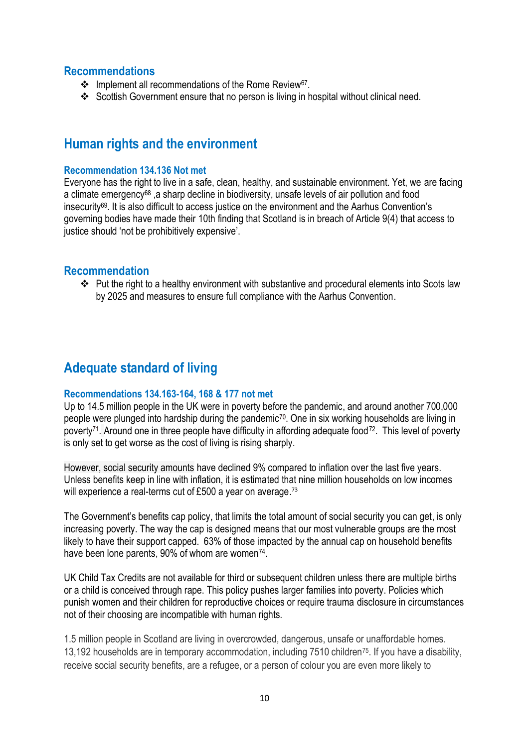#### **Recommendations**

- ❖ Implement all recommendations of the Rome Review<sup>67</sup> .
- ❖ Scottish Government ensure that no person is living in hospital without clinical need.

### **Human rights and the environment**

#### **Recommendation 134.136 Not met**

Everyone has the right to live in a safe, clean, healthy, and sustainable environment. Yet, we are facing a climate emergency<sup>68</sup>, a sharp decline in biodiversity, unsafe levels of air pollution and food insecurity<sup>69</sup>. It is also difficult to access justice on the environment and the Aarhus Convention's governing bodies have made their 10th finding that Scotland is in breach of Article 9(4) that access to justice should 'not be prohibitively expensive'.

#### **Recommendation**

❖ Put the right to a healthy environment with substantive and procedural elements into Scots law by 2025 and measures to ensure full compliance with the Aarhus Convention.

# **Adequate standard of living**

#### **Recommendations 134.163-164, 168 & 177 not met**

Up to 14.5 million people in the UK were in poverty before the pandemic, and around another 700,000 people were plunged into hardship during the pandemic<sup>70</sup>. One in six working households are living in poverty<sup>71</sup>. Around one in three people have difficulty in affording adequate food<sup>72</sup>. This level of poverty is only set to get worse as the cost of living is rising sharply.

However, social security amounts have declined 9% compared to inflation over the last five years. Unless benefits keep in line with inflation, it is estimated that nine million households on low incomes will experience a real-terms cut of £500 a year on average.<sup>73</sup>

The Government's benefits cap policy, that limits the total amount of social security you can get, is only increasing poverty. The way the cap is designed means that our most vulnerable groups are the most likely to have their support capped. 63% of those impacted by the annual cap on household benefits have been lone parents, 90% of whom are women<sup>74</sup>.

UK Child Tax Credits are not available for third or subsequent children unless there are multiple births or a child is conceived through rape. This policy pushes larger families into poverty. Policies which punish women and their children for reproductive choices or require trauma disclosure in circumstances not of their choosing are incompatible with human rights.

1.5 million people in Scotland are living in overcrowded, dangerous, unsafe or unaffordable homes. 13,192 households are in temporary accommodation, including 7510 children75. If you have a disability, receive social security benefits, are a refugee, or a person of colour you are even more likely to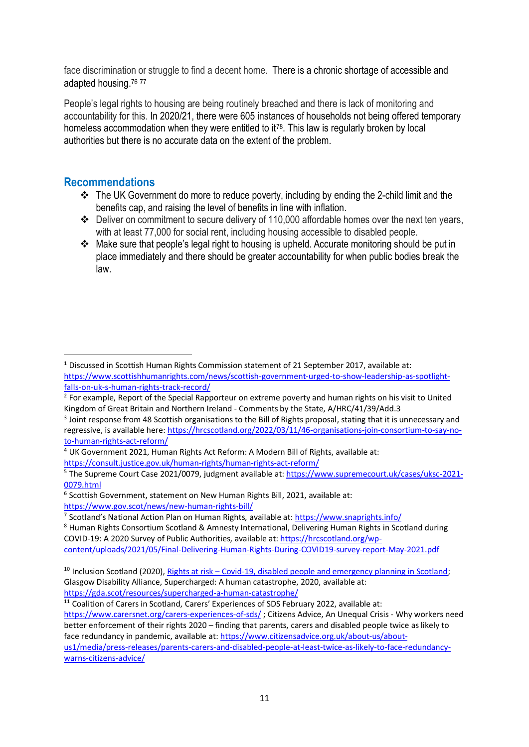face discrimination or struggle to find a decent home. There is a chronic shortage of accessible and adapted housing.<sup>76</sup> <sup>77</sup>

People's legal rights to housing are being routinely breached and there is lack of monitoring and accountability for this. In 2020/21, there were 605 instances of households not being offered temporary homeless accommodation when they were entitled to it<sup>78</sup>. This law is regularly broken by local authorities but there is no accurate data on the extent of the problem.

#### **Recommendations**

- ❖ The UK Government do more to reduce poverty, including by ending the 2-child limit and the benefits cap, and raising the level of benefits in line with inflation.
- ❖ Deliver on commitment to secure delivery of 110,000 affordable homes over the next ten years, with at least 77,000 for social rent, including housing accessible to disabled people.
- ❖ Make sure that people's legal right to housing is upheld. Accurate monitoring should be put in place immediately and there should be greater accountability for when public bodies break the law.

<sup>&</sup>lt;sup>1</sup> Discussed in Scottish Human Rights Commission statement of 21 September 2017, available at: [https://www.scottishhumanrights.com/news/scottish-government-urged-to-show-leadership-as-spotlight](https://www.scottishhumanrights.com/news/scottish-government-urged-to-show-leadership-as-spotlight-falls-on-uk-s-human-rights-track-record/)[falls-on-uk-s-human-rights-track-record/](https://www.scottishhumanrights.com/news/scottish-government-urged-to-show-leadership-as-spotlight-falls-on-uk-s-human-rights-track-record/)

<sup>&</sup>lt;sup>2</sup> For example, Report of the Special Rapporteur on extreme poverty and human rights on his visit to United Kingdom of Great Britain and Northern Ireland - Comments by the State, A/HRC/41/39/Add.3

<sup>&</sup>lt;sup>3</sup> Joint response from 48 Scottish organisations to the Bill of Rights proposal, stating that it is unnecessary and regressive, is available here[: https://hrcscotland.org/2022/03/11/46-organisations-join-consortium-to-say-no](https://hrcscotland.org/2022/03/11/46-organisations-join-consortium-to-say-no-to-human-rights-act-reform/)[to-human-rights-act-reform/](https://hrcscotland.org/2022/03/11/46-organisations-join-consortium-to-say-no-to-human-rights-act-reform/)

<sup>4</sup> UK Government 2021, Human Rights Act Reform: A Modern Bill of Rights, available at: <https://consult.justice.gov.uk/human-rights/human-rights-act-reform/>

<sup>&</sup>lt;sup>5</sup> The Supreme Court Case 2021/0079, judgment available at[: https://www.supremecourt.uk/cases/uksc-2021-](https://www.supremecourt.uk/cases/uksc-2021-0079.html) [0079.html](https://www.supremecourt.uk/cases/uksc-2021-0079.html)

<sup>&</sup>lt;sup>6</sup> Scottish Government, statement on New Human Rights Bill, 2021, available at: <https://www.gov.scot/news/new-human-rights-bill/>

<sup>&</sup>lt;sup>7</sup> Scotland's National Action Plan on Human Rights, available at:<https://www.snaprights.info/>

<sup>&</sup>lt;sup>8</sup> Human Rights Consortium Scotland & Amnesty International, Delivering Human Rights in Scotland during COVID-19: A 2020 Survey of Public Authorities, available at[: https://hrcscotland.org/wp-](https://hrcscotland.org/wp-content/uploads/2021/05/Final-Delivering-Human-Rights-During-COVID19-survey-report-May-2021.pdf)

[content/uploads/2021/05/Final-Delivering-Human-Rights-During-COVID19-survey-report-May-2021.pdf](https://hrcscotland.org/wp-content/uploads/2021/05/Final-Delivering-Human-Rights-During-COVID19-survey-report-May-2021.pdf)

<sup>&</sup>lt;sup>10</sup> Inclusion Scotland (2020), Rights at risk – [Covid-19, disabled people and emergency planning in Scotland;](https://inclusionscotland.org/wp-content/uploads/2021/05/Rights-At-Risk-Main-Report.pdf) Glasgow Disability Alliance, Supercharged: A human catastrophe, 2020, available at: <https://gda.scot/resources/supercharged-a-human-catastrophe/>

 $11$  Coalition of Carers in Scotland, Carers' Experiences of SDS February 2022, available at: <https://www.carersnet.org/carers-experiences-of-sds/> ; Citizens Advice, An Unequal Crisis - Why workers need better enforcement of their rights 2020 – finding that parents, carers and disabled people twice as likely to face redundancy in pandemic, available at: [https://www.citizensadvice.org.uk/about-us/about](https://www.citizensadvice.org.uk/about-us/about-us1/media/press-releases/parents-carers-and-disabled-people-at-least-twice-as-likely-to-face-redundancy-warns-citizens-advice/)[us1/media/press-releases/parents-carers-and-disabled-people-at-least-twice-as-likely-to-face-redundancy](https://www.citizensadvice.org.uk/about-us/about-us1/media/press-releases/parents-carers-and-disabled-people-at-least-twice-as-likely-to-face-redundancy-warns-citizens-advice/)[warns-citizens-advice/](https://www.citizensadvice.org.uk/about-us/about-us1/media/press-releases/parents-carers-and-disabled-people-at-least-twice-as-likely-to-face-redundancy-warns-citizens-advice/)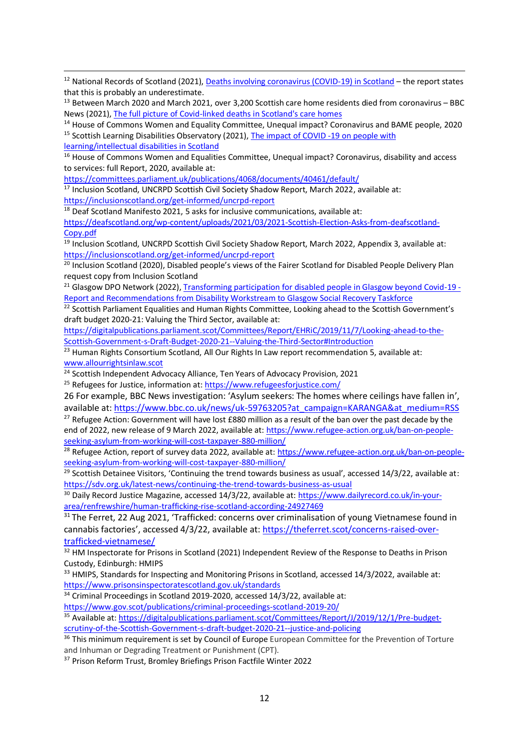<sup>12</sup> National Records of Scotland (2021)[, Deaths involving coronavirus \(COVID-19\) in Scotland](https://www.nrscotland.gov.uk/files/statistics/covid19/covid-deaths-21-report-week-11.pdf) – the report states that this is probably an underestimate.

<sup>13</sup> Between March 2020 and March 2021, over 3,200 Scottish care home residents died from coronavirus – BBC News (2021), [The full picture of Covid-linked deaths in Scotland's care homes](https://www.bbc.co.uk/news/uk-scotland-56759166)

<sup>14</sup> House of Commons Women and Equality Committee, Unequal impact? Coronavirus and BAME people, 2020 <sup>15</sup> Scottish Learning Disabilities Observatory (2021), The impact of COVID -19 on people with

[learning/intellectual disabilities in Scotland](https://www.sldo.ac.uk/our-research/life-expectancy-and-mortality/covid-19/)

<sup>16</sup> House of Commons Women and Equalities Committee, Unequal impact? Coronavirus, disability and access to services: full Report, 2020, available at:

<https://committees.parliament.uk/publications/4068/documents/40461/default/>

 $17$  Inclusion Scotland, UNCRPD Scottish Civil Society Shadow Report, March 2022, available at: <https://inclusionscotland.org/get-informed/uncrpd-report>

 $18$  Deaf Scotland Manifesto 2021, 5 asks for inclusive communications, available at: [https://deafscotland.org/wp-content/uploads/2021/03/2021-Scottish-Election-Asks-from-deafscotland-](https://deafscotland.org/wp-content/uploads/2021/03/2021-Scottish-Election-Asks-from-deafscotland-Copy.pdf)[Copy.pdf](https://deafscotland.org/wp-content/uploads/2021/03/2021-Scottish-Election-Asks-from-deafscotland-Copy.pdf)

<sup>19</sup> Inclusion Scotland, UNCRPD Scottish Civil Society Shadow Report, March 2022, Appendix 3, available at: <https://inclusionscotland.org/get-informed/uncrpd-report>

<sup>20</sup> Inclusion Scotland (2020), Disabled people's views of the Fairer Scotland for Disabled People Delivery Plan request copy from Inclusion Scotland

<sup>21</sup> Glasgow DPO Network (2022)[, Transforming participation for disabled people in Glasgow beyond Covid-19 -](file:///C:/Users/RebeccaMcGregor/Downloads/Disability-Workstream-Participation-Report.pdf) [Report and Recommendations from Disability Workstream to Glasgow Social Recovery Taskforce](file:///C:/Users/RebeccaMcGregor/Downloads/Disability-Workstream-Participation-Report.pdf)

<sup>22</sup> Scottish Parliament Equalities and Human Rights Committee, Looking ahead to the Scottish Government's draft budget 2020-21: Valuing the Third Sector, available at:

[https://digitalpublications.parliament.scot/Committees/Report/EHRiC/2019/11/7/Looking-ahead-to-the-](https://digitalpublications.parliament.scot/Committees/Report/EHRiC/2019/11/7/Looking-ahead-to-the-Scottish-Government-s-Draft-Budget-2020-21--Valuing-the-Third-Sector#Introduction)[Scottish-Government-s-Draft-Budget-2020-21--Valuing-the-Third-Sector#Introduction](https://digitalpublications.parliament.scot/Committees/Report/EHRiC/2019/11/7/Looking-ahead-to-the-Scottish-Government-s-Draft-Budget-2020-21--Valuing-the-Third-Sector#Introduction)

 $23$  Human Rights Consortium Scotland, All Our Rights In Law report recommendation 5, available at: [www.allourrightsinlaw.scot](http://www.allourrightsinlaw.scot/)

<sup>24</sup> Scottish Independent Advocacy Alliance. Ten Years of Advocacy Provision, 2021

<sup>25</sup> Refugees for Justice, information at[: https://www.refugeesforjustice.com/](https://www.refugeesforjustice.com/)

26 For example, BBC News investigation: 'Asylum seekers: The homes where ceilings have fallen in', available at[: https://www.bbc.co.uk/news/uk-59763205?at\\_campaign=KARANGA&at\\_medium=RSS](https://www.bbc.co.uk/news/uk-59763205?at_campaign=KARANGA&at_medium=RSS)

<sup>27</sup> Refugee Action: Government will have lost £880 million as a result of the ban over the past decade by the end of 2022, new release of 9 March 2022, available at[: https://www.refugee-action.org.uk/ban-on-people](https://www.refugee-action.org.uk/ban-on-people-seeking-asylum-from-working-will-cost-taxpayer-880-million/)[seeking-asylum-from-working-will-cost-taxpayer-880-million/](https://www.refugee-action.org.uk/ban-on-people-seeking-asylum-from-working-will-cost-taxpayer-880-million/)

<sup>28</sup> Refugee Action, report of survey data 2022, available at: [https://www.refugee-action.org.uk/ban-on-people](https://www.refugee-action.org.uk/ban-on-people-seeking-asylum-from-working-will-cost-taxpayer-880-million/)[seeking-asylum-from-working-will-cost-taxpayer-880-million/](https://www.refugee-action.org.uk/ban-on-people-seeking-asylum-from-working-will-cost-taxpayer-880-million/)

<sup>29</sup> Scottish Detainee Visitors, 'Continuing the trend towards business as usual', accessed 14/3/22, available at: <https://sdv.org.uk/latest-news/continuing-the-trend-towards-business-as-usual>

<sup>30</sup> Daily Record Justice Magazine, accessed 14/3/22, available at[: https://www.dailyrecord.co.uk/in-your](https://www.dailyrecord.co.uk/in-your-area/renfrewshire/human-trafficking-rise-scotland-according-24927469)[area/renfrewshire/human-trafficking-rise-scotland-according-24927469](https://www.dailyrecord.co.uk/in-your-area/renfrewshire/human-trafficking-rise-scotland-according-24927469)

<sup>31</sup> The Ferret, 22 Aug 2021, 'Trafficked: concerns over criminalisation of young Vietnamese found in cannabis factories', accessed 4/3/22, available at: [https://theferret.scot/concerns-raised-over](https://theferret.scot/concerns-raised-over-trafficked-vietnamese/)[trafficked-vietnamese/](https://theferret.scot/concerns-raised-over-trafficked-vietnamese/)

<sup>32</sup> HM Inspectorate for Prisons in Scotland (2021) Independent Review of the Response to Deaths in Prison Custody, Edinburgh: HMIPS

<sup>33</sup> HMIPS, Standards for Inspecting and Monitoring Prisons in Scotland, accessed 14/3/2022, available at: <https://www.prisonsinspectoratescotland.gov.uk/standards>

<sup>34</sup> Criminal Proceedings in Scotland 2019-2020, accessed 14/3/22, available at:

<https://www.gov.scot/publications/criminal-proceedings-scotland-2019-20/>

<sup>35</sup> Available at[: https://digitalpublications.parliament.scot/Committees/Report/J/2019/12/1/Pre-budget](https://digitalpublications.parliament.scot/Committees/Report/J/2019/12/1/Pre-budget-scrutiny-of-the-Scottish-Government-s-draft-budget-2020-21--justice-and-policing)[scrutiny-of-the-Scottish-Government-s-draft-budget-2020-21--justice-and-policing](https://digitalpublications.parliament.scot/Committees/Report/J/2019/12/1/Pre-budget-scrutiny-of-the-Scottish-Government-s-draft-budget-2020-21--justice-and-policing)

<sup>36</sup> This minimum requirement is set by Council of Europe European Committee for the Prevention of Torture and Inhuman or Degrading Treatment or Punishment (CPT).

<sup>37</sup> Prison Reform Trust, Bromley Briefings Prison Factfile Winter 2022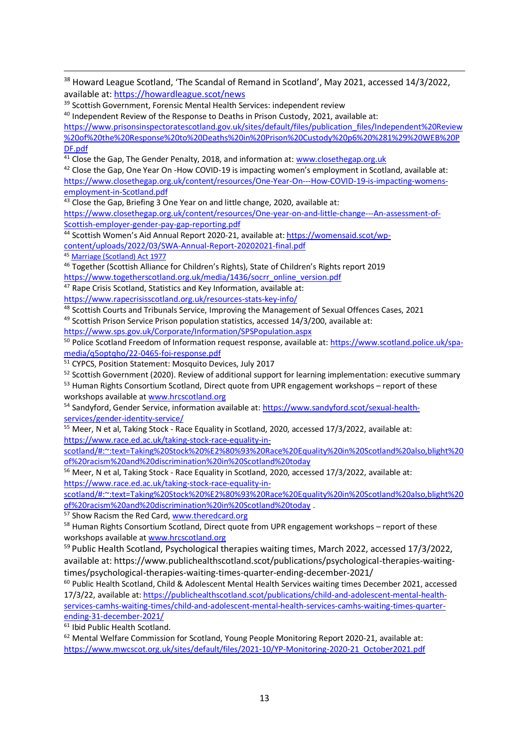<sup>38</sup> Howard League Scotland, 'The Scandal of Remand in Scotland', May 2021, accessed 14/3/2022, available at[: https://howardleague.scot/news](https://howardleague.scot/news)

<sup>39</sup> Scottish Government, Forensic Mental Health Services: independent review

<sup>40</sup> Independent Review of the Response to Deaths in Prison Custody, 2021, available at:

[https://www.prisonsinspectoratescotland.gov.uk/sites/default/files/publication\\_files/Independent%20Review](https://www.prisonsinspectoratescotland.gov.uk/sites/default/files/publication_files/Independent%20Review%20of%20the%20Response%20to%20Deaths%20in%20Prison%20Custody%20p6%20%281%29%20WEB%20PDF.pdf) [%20of%20the%20Response%20to%20Deaths%20in%20Prison%20Custody%20p6%20%281%29%20WEB%20P](https://www.prisonsinspectoratescotland.gov.uk/sites/default/files/publication_files/Independent%20Review%20of%20the%20Response%20to%20Deaths%20in%20Prison%20Custody%20p6%20%281%29%20WEB%20PDF.pdf) [DF.pdf](https://www.prisonsinspectoratescotland.gov.uk/sites/default/files/publication_files/Independent%20Review%20of%20the%20Response%20to%20Deaths%20in%20Prison%20Custody%20p6%20%281%29%20WEB%20PDF.pdf)

<sup>41</sup> Close the Gap, The Gender Penalty, 2018, and information at: [www.closethegap.org.uk](http://www.closethegap.org.uk/)

<sup>42</sup> Close the Gap, One Year On -How COVID-19 is impacting women's employment in Scotland, available at: [https://www.closethegap.org.uk/content/resources/One-Year-On---How-COVID-19-is-impacting-womens](https://www.closethegap.org.uk/content/resources/One-Year-On---How-COVID-19-is-impacting-womens-employment-in-Scotland.pdf)[employment-in-Scotland.pdf](https://www.closethegap.org.uk/content/resources/One-Year-On---How-COVID-19-is-impacting-womens-employment-in-Scotland.pdf)

 $43$  Close the Gap, Briefing 3 One Year on and little change, 2020, available at:

[https://www.closethegap.org.uk/content/resources/One-year-on-and-little-change---An-assessment-of-](https://www.closethegap.org.uk/content/resources/One-year-on-and-little-change---An-assessment-of-Scottish-employer-gender-pay-gap-reporting.pdf)[Scottish-employer-gender-pay-gap-reporting.pdf](https://www.closethegap.org.uk/content/resources/One-year-on-and-little-change---An-assessment-of-Scottish-employer-gender-pay-gap-reporting.pdf)

<sup>44</sup> Scottish Women's Aid Annual Report 2020-21, available at[: https://womensaid.scot/wp-](https://womensaid.scot/wp-content/uploads/2022/03/SWA-Annual-Report-20202021-final.pdf)

[content/uploads/2022/03/SWA-Annual-Report-20202021-final.pdf](https://womensaid.scot/wp-content/uploads/2022/03/SWA-Annual-Report-20202021-final.pdf)

<sup>45</sup> [Marriage \(Scotland\) Act 1977](https://www.legislation.gov.uk/ukpga/1977/15/contents)

<sup>46</sup> Together (Scottish Alliance for Children's Rights), State of Children's Rights report 2019 [https://www.togetherscotland.org.uk/media/1436/socrr\\_online\\_version.pdf](https://www.togetherscotland.org.uk/media/1436/socrr_online_version.pdf)

 $47$  Rape Crisis Scotland, Statistics and Key Information, available at:

<https://www.rapecrisisscotland.org.uk/resources-stats-key-info/>

<sup>48</sup> Scottish Courts and Tribunals Service, Improving the Management of Sexual Offences Cases, 2021

49 Scottish Prison Service Prison population statistics, accessed 14/3/200, available at:

<https://www.sps.gov.uk/Corporate/Information/SPSPopulation.aspx>

<sup>50</sup> Police Scotland Freedom of Information request response, available at[: https://www.scotland.police.uk/spa](https://www.scotland.police.uk/spa-media/q5optqho/22-0465-foi-response.pdf)[media/q5optqho/22-0465-foi-response.pdf](https://www.scotland.police.uk/spa-media/q5optqho/22-0465-foi-response.pdf)

<sup>51</sup> CYPCS, Position Statement: Mosquito Devices, July 2017

52 Scottish Government (2020). Review of additional support for learning implementation: executive summary

<sup>53</sup> Human Rights Consortium Scotland, Direct quote from UPR engagement workshops – report of these workshops available at [www.hrcscotland.org](http://www.hrcscotland.org/)

<sup>54</sup> Sandyford, Gender Service, information available at[: https://www.sandyford.scot/sexual-health](https://www.sandyford.scot/sexual-health-services/gender-identity-service/)[services/gender-identity-service/](https://www.sandyford.scot/sexual-health-services/gender-identity-service/)

<sup>55</sup> Meer, N et al, Taking Stock - Race Equality in Scotland, 2020, accessed 17/3/2022, available at: [https://www.race.ed.ac.uk/taking-stock-race-equality-in-](https://www.race.ed.ac.uk/taking-stock-race-equality-in-scotland/#:~:text=Taking%20Stock%20%E2%80%93%20Race%20Equality%20in%20Scotland%20also,blight%20of%20racism%20and%20discrimination%20in%20Scotland%20today)

[scotland/#:~:text=Taking%20Stock%20%E2%80%93%20Race%20Equality%20in%20Scotland%20also,blight%20](https://www.race.ed.ac.uk/taking-stock-race-equality-in-scotland/#:~:text=Taking%20Stock%20%E2%80%93%20Race%20Equality%20in%20Scotland%20also,blight%20of%20racism%20and%20discrimination%20in%20Scotland%20today) [of%20racism%20and%20discrimination%20in%20Scotland%20today](https://www.race.ed.ac.uk/taking-stock-race-equality-in-scotland/#:~:text=Taking%20Stock%20%E2%80%93%20Race%20Equality%20in%20Scotland%20also,blight%20of%20racism%20and%20discrimination%20in%20Scotland%20today)

<sup>56</sup> Meer, N et al, Taking Stock - Race Equality in Scotland, 2020, accessed 17/3/2022, available at: [https://www.race.ed.ac.uk/taking-stock-race-equality-in-](https://www.race.ed.ac.uk/taking-stock-race-equality-in-scotland/#:~:text=Taking%20Stock%20%E2%80%93%20Race%20Equality%20in%20Scotland%20also,blight%20of%20racism%20and%20discrimination%20in%20Scotland%20today)

[scotland/#:~:text=Taking%20Stock%20%E2%80%93%20Race%20Equality%20in%20Scotland%20also,blight%20](https://www.race.ed.ac.uk/taking-stock-race-equality-in-scotland/#:~:text=Taking%20Stock%20%E2%80%93%20Race%20Equality%20in%20Scotland%20also,blight%20of%20racism%20and%20discrimination%20in%20Scotland%20today) [of%20racism%20and%20discrimination%20in%20Scotland%20today](https://www.race.ed.ac.uk/taking-stock-race-equality-in-scotland/#:~:text=Taking%20Stock%20%E2%80%93%20Race%20Equality%20in%20Scotland%20also,blight%20of%20racism%20and%20discrimination%20in%20Scotland%20today) .

<sup>57</sup> Show Racism the Red Card[, www.theredcard.org](http://www.theredcard.org/)

 $58$  Human Rights Consortium Scotland, Direct quote from UPR engagement workshops – report of these workshops available at [www.hrcscotland.org](http://www.hrcscotland.org/) 

<sup>59</sup> Public Health Scotland, Psychological therapies waiting times, March 2022, accessed 17/3/2022, available at: https://www.publichealthscotland.scot/publications/psychological-therapies-waitingtimes/psychological-therapies-waiting-times-quarter-ending-december-2021/

<sup>60</sup> Public Health Scotland, Child & Adolescent Mental Health Services waiting times December 2021, accessed 17/3/22, available at[: https://publichealthscotland.scot/publications/child-and-adolescent-mental-health](https://publichealthscotland.scot/publications/child-and-adolescent-mental-health-services-camhs-waiting-times/child-and-adolescent-mental-health-services-camhs-waiting-times-quarter-ending-31-december-2021/)[services-camhs-waiting-times/child-and-adolescent-mental-health-services-camhs-waiting-times-quarter](https://publichealthscotland.scot/publications/child-and-adolescent-mental-health-services-camhs-waiting-times/child-and-adolescent-mental-health-services-camhs-waiting-times-quarter-ending-31-december-2021/)[ending-31-december-2021/](https://publichealthscotland.scot/publications/child-and-adolescent-mental-health-services-camhs-waiting-times/child-and-adolescent-mental-health-services-camhs-waiting-times-quarter-ending-31-december-2021/)

<sup>61</sup> Ibid Public Health Scotland.

 $62$  Mental Welfare Commission for Scotland, Young People Monitoring Report 2020-21, available at: [https://www.mwcscot.org.uk/sites/default/files/2021-10/YP-Monitoring-2020-21\\_October2021.pdf](https://www.mwcscot.org.uk/sites/default/files/2021-10/YP-Monitoring-2020-21_October2021.pdf)